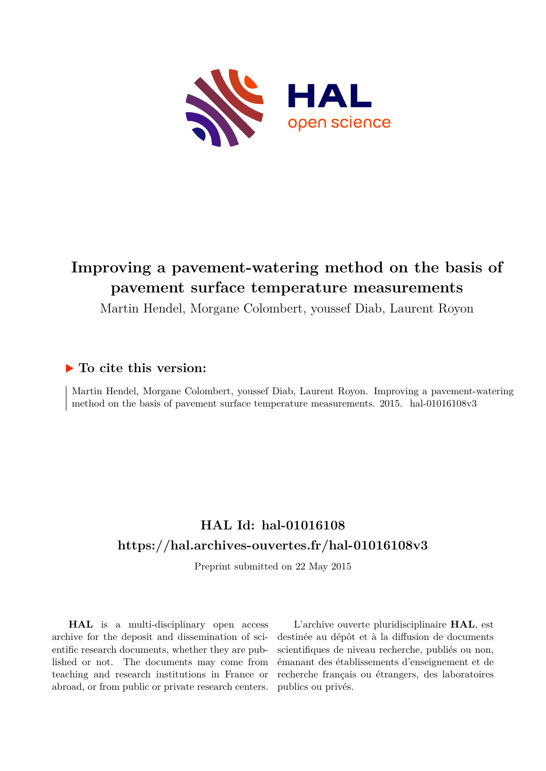

## **Improving a pavement-watering method on the basis of pavement surface temperature measurements**

Martin Hendel, Morgane Colombert, youssef Diab, Laurent Royon

## **To cite this version:**

Martin Hendel, Morgane Colombert, youssef Diab, Laurent Royon. Improving a pavement-watering method on the basis of pavement surface temperature measurements.  $2015.$  hal- $01016108v3$ 

## **HAL Id: hal-01016108 <https://hal.archives-ouvertes.fr/hal-01016108v3>**

Preprint submitted on 22 May 2015

**HAL** is a multi-disciplinary open access archive for the deposit and dissemination of scientific research documents, whether they are published or not. The documents may come from teaching and research institutions in France or abroad, or from public or private research centers.

L'archive ouverte pluridisciplinaire **HAL**, est destinée au dépôt et à la diffusion de documents scientifiques de niveau recherche, publiés ou non, émanant des établissements d'enseignement et de recherche français ou étrangers, des laboratoires publics ou privés.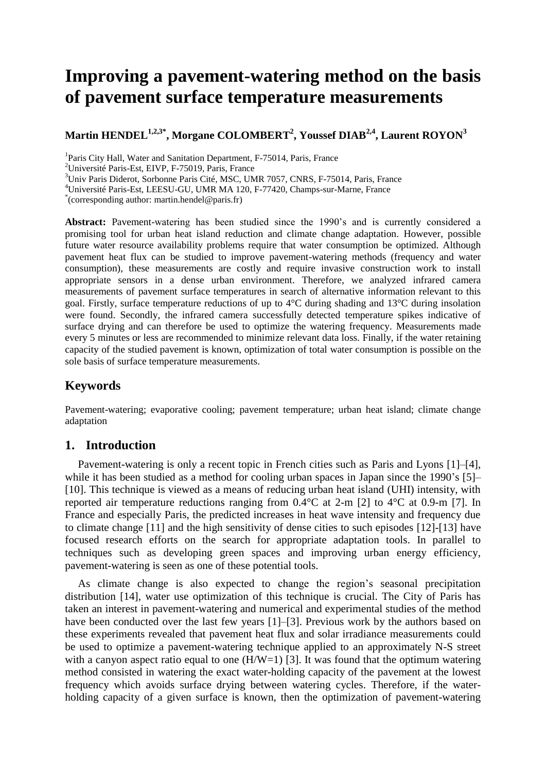# **Improving a pavement-watering method on the basis of pavement surface temperature measurements**

## **Martin HENDEL1,2,3\* , Morgane COLOMBERT<sup>2</sup> , Youssef DIAB2,4, Laurent ROYON<sup>3</sup>**

<sup>1</sup>Paris City Hall, Water and Sanitation Department, F-75014, Paris, France

<sup>2</sup>Université Paris-Est, EIVP, F-75019, Paris, France

<sup>3</sup>Univ Paris Diderot, Sorbonne Paris Cité, MSC, UMR 7057, CNRS, F-75014, Paris, France

<sup>4</sup>Université Paris-Est, LEESU-GU, UMR MA 120, F-77420, Champs-sur-Marne, France

\* (corresponding author: [martin.hendel@paris.fr\)](mailto:martin.hendel@paris.fr)

**Abstract:** Pavement-watering has been studied since the 1990's and is currently considered a promising tool for urban heat island reduction and climate change adaptation. However, possible future water resource availability problems require that water consumption be optimized. Although pavement heat flux can be studied to improve pavement-watering methods (frequency and water consumption), these measurements are costly and require invasive construction work to install appropriate sensors in a dense urban environment. Therefore, we analyzed infrared camera measurements of pavement surface temperatures in search of alternative information relevant to this goal. Firstly, surface temperature reductions of up to 4°C during shading and 13°C during insolation were found. Secondly, the infrared camera successfully detected temperature spikes indicative of surface drying and can therefore be used to optimize the watering frequency. Measurements made every 5 minutes or less are recommended to minimize relevant data loss. Finally, if the water retaining capacity of the studied pavement is known, optimization of total water consumption is possible on the sole basis of surface temperature measurements.

## **Keywords**

Pavement-watering; evaporative cooling; pavement temperature; urban heat island; climate change adaptation

### **1. Introduction**

Pavement-watering is only a recent topic in French cities such as Paris and Lyons [1]–[4], while it has been studied as a method for cooling urban spaces in Japan since the 1990's [5]-[10]. This technique is viewed as a means of reducing urban heat island (UHI) intensity, with reported air temperature reductions ranging from 0.4°C at 2-m [2] to 4°C at 0.9-m [7]. In France and especially Paris, the predicted increases in heat wave intensity and frequency due to climate change [11] and the high sensitivity of dense cities to such episodes [12]-[13] have focused research efforts on the search for appropriate adaptation tools. In parallel to techniques such as developing green spaces and improving urban energy efficiency, pavement-watering is seen as one of these potential tools.

As climate change is also expected to change the region's seasonal precipitation distribution [14], water use optimization of this technique is crucial. The City of Paris has taken an interest in pavement-watering and numerical and experimental studies of the method have been conducted over the last few years [1]–[3]. Previous work by the authors based on these experiments revealed that pavement heat flux and solar irradiance measurements could be used to optimize a pavement-watering technique applied to an approximately N-S street with a canyon aspect ratio equal to one  $(H/W=1)$  [3]. It was found that the optimum watering method consisted in watering the exact water-holding capacity of the pavement at the lowest frequency which avoids surface drying between watering cycles. Therefore, if the waterholding capacity of a given surface is known, then the optimization of pavement-watering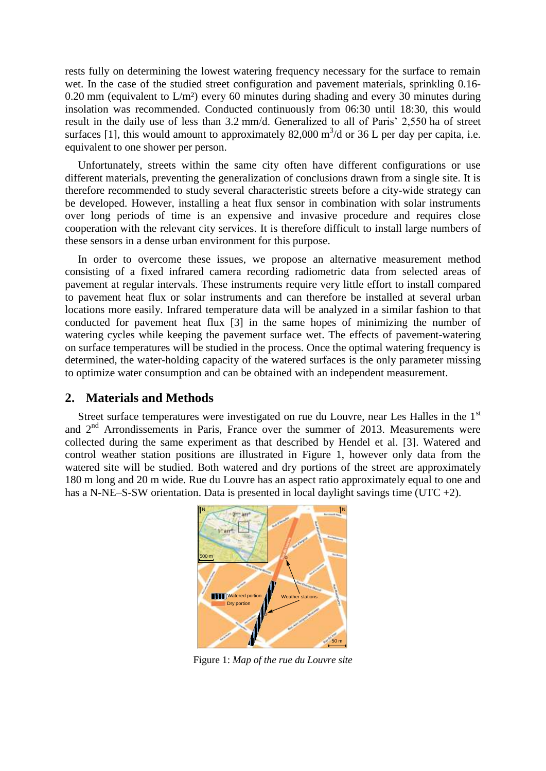rests fully on determining the lowest watering frequency necessary for the surface to remain wet. In the case of the studied street configuration and pavement materials, sprinkling 0.16- 0.20 mm (equivalent to  $L/m^2$ ) every 60 minutes during shading and every 30 minutes during insolation was recommended. Conducted continuously from 06:30 until 18:30, this would result in the daily use of less than 3.2 mm/d. Generalized to all of Paris' 2,550 ha of street surfaces [1], this would amount to approximately 82,000  $\text{m}^3/\text{d}$  or 36 L per day per capita, i.e. equivalent to one shower per person.

Unfortunately, streets within the same city often have different configurations or use different materials, preventing the generalization of conclusions drawn from a single site. It is therefore recommended to study several characteristic streets before a city-wide strategy can be developed. However, installing a heat flux sensor in combination with solar instruments over long periods of time is an expensive and invasive procedure and requires close cooperation with the relevant city services. It is therefore difficult to install large numbers of these sensors in a dense urban environment for this purpose.

In order to overcome these issues, we propose an alternative measurement method consisting of a fixed infrared camera recording radiometric data from selected areas of pavement at regular intervals. These instruments require very little effort to install compared to pavement heat flux or solar instruments and can therefore be installed at several urban locations more easily. Infrared temperature data will be analyzed in a similar fashion to that conducted for pavement heat flux [3] in the same hopes of minimizing the number of watering cycles while keeping the pavement surface wet. The effects of pavement-watering on surface temperatures will be studied in the process. Once the optimal watering frequency is determined, the water-holding capacity of the watered surfaces is the only parameter missing to optimize water consumption and can be obtained with an independent measurement.

#### **2. Materials and Methods**

Street surface temperatures were investigated on rue du Louvre, near Les Halles in the 1<sup>st</sup> and 2nd Arrondissements in Paris, France over the summer of 2013. Measurements were collected during the same experiment as that described by Hendel et al. [3]. Watered and control weather station positions are illustrated in [Figure 1,](#page-2-0) however only data from the watered site will be studied. Both watered and dry portions of the street are approximately 180 m long and 20 m wide. Rue du Louvre has an aspect ratio approximately equal to one and has a N-NE–S-SW orientation. Data is presented in local daylight savings time (UTC +2).

<span id="page-2-0"></span>

Figure 1: *Map of the rue du Louvre site*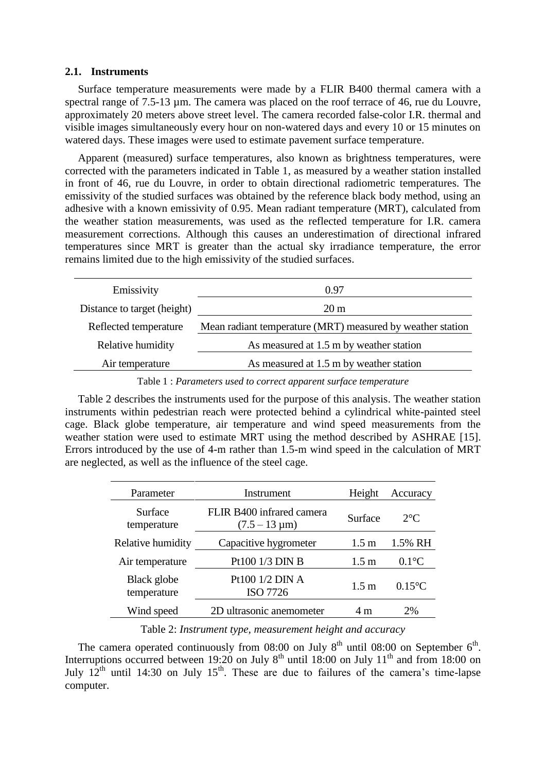#### **2.1. Instruments**

Surface temperature measurements were made by a FLIR B400 thermal camera with a spectral range of 7.5-13 µm. The camera was placed on the roof terrace of 46, rue du Louvre, approximately 20 meters above street level. The camera recorded false-color I.R. thermal and visible images simultaneously every hour on non-watered days and every 10 or 15 minutes on watered days. These images were used to estimate pavement surface temperature.

Apparent (measured) surface temperatures, also known as brightness temperatures, were corrected with the parameters indicated in [Table 1,](#page-3-0) as measured by a weather station installed in front of 46, rue du Louvre, in order to obtain directional radiometric temperatures. The emissivity of the studied surfaces was obtained by the reference black body method, using an adhesive with a known emissivity of 0.95. Mean radiant temperature (MRT), calculated from the weather station measurements, was used as the reflected temperature for I.R. camera measurement corrections. Although this causes an underestimation of directional infrared temperatures since MRT is greater than the actual sky irradiance temperature, the error remains limited due to the high emissivity of the studied surfaces.

| Emissivity                  | 0.97                                                       |  |
|-----------------------------|------------------------------------------------------------|--|
| Distance to target (height) | $20 \text{ m}$                                             |  |
| Reflected temperature       | Mean radiant temperature (MRT) measured by weather station |  |
| Relative humidity           | As measured at 1.5 m by weather station                    |  |
| Air temperature             | As measured at 1.5 m by weather station                    |  |

Table 1 : *Parameters used to correct apparent surface temperature*

<span id="page-3-0"></span>[Table 2](#page-3-1) describes the instruments used for the purpose of this analysis. The weather station instruments within pedestrian reach were protected behind a cylindrical white-painted steel cage. Black globe temperature, air temperature and wind speed measurements from the weather station were used to estimate MRT using the method described by ASHRAE [15]. Errors introduced by the use of 4-m rather than 1.5-m wind speed in the calculation of MRT are neglected, as well as the influence of the steel cage.

| Parameter                  | Instrument                                      | Height          | Accuracy         |
|----------------------------|-------------------------------------------------|-----------------|------------------|
| Surface<br>temperature     | FLIR B400 infrared camera<br>$(7.5 - 13 \mu m)$ | Surface         | $2^{\circ}C$     |
| Relative humidity          | Capacitive hygrometer                           | 1.5 m           | 1.5% RH          |
| Air temperature            | Pt100 1/3 DIN B                                 | $1.5 \text{ m}$ | $0.1^{\circ}C$   |
| Black globe<br>temperature | Pt100 1/2 DIN A<br>ISO 7726                     | 1.5 m           | $0.15^{\circ}$ C |
| Wind speed                 | 2D ultrasonic anemometer                        | 4 m             | 2%               |

Table 2: *Instrument type, measurement height and accuracy*

<span id="page-3-1"></span>The camera operated continuously from 08:00 on July  $8<sup>th</sup>$  until 08:00 on September 6<sup>th</sup>. Interruptions occurred between 19:20 on July  $8<sup>th</sup>$  until 18:00 on July 11<sup>th</sup> and from 18:00 on July  $12<sup>th</sup>$  until 14:30 on July 15<sup>th</sup>. These are due to failures of the camera's time-lapse computer.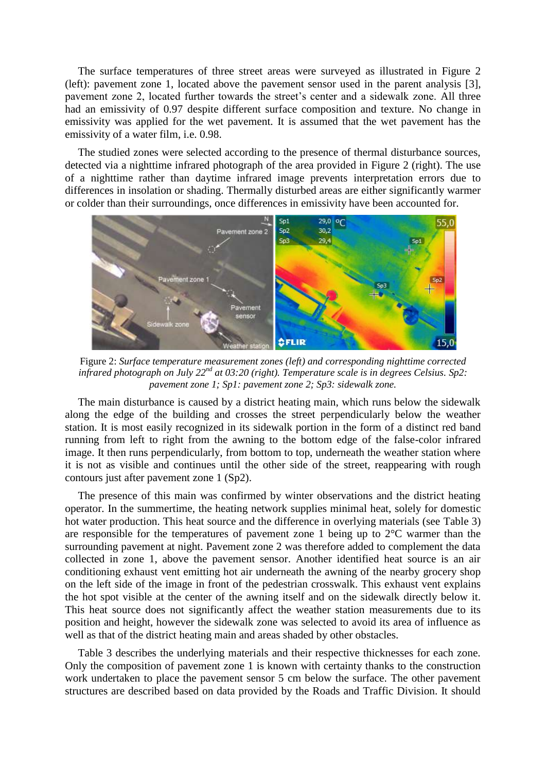The surface temperatures of three street areas were surveyed as illustrated in [Figure 2](#page-4-0) (left): pavement zone 1, located above the pavement sensor used in the parent analysis [3], pavement zone 2, located further towards the street's center and a sidewalk zone. All three had an emissivity of 0.97 despite different surface composition and texture. No change in emissivity was applied for the wet pavement. It is assumed that the wet pavement has the emissivity of a water film, i.e. 0.98.

The studied zones were selected according to the presence of thermal disturbance sources, detected via a nighttime infrared photograph of the area provided in [Figure 2](#page-4-0) (right). The use of a nighttime rather than daytime infrared image prevents interpretation errors due to differences in insolation or shading. Thermally disturbed areas are either significantly warmer or colder than their surroundings, once differences in emissivity have been accounted for.



<span id="page-4-0"></span>Figure 2: *Surface temperature measurement zones (left) and corresponding nighttime corrected infrared photograph on July 22nd at 03:20 (right). Temperature scale is in degrees Celsius. Sp2: pavement zone 1; Sp1: pavement zone 2; Sp3: sidewalk zone.*

The main disturbance is caused by a district heating main, which runs below the sidewalk along the edge of the building and crosses the street perpendicularly below the weather station. It is most easily recognized in its sidewalk portion in the form of a distinct red band running from left to right from the awning to the bottom edge of the false-color infrared image. It then runs perpendicularly, from bottom to top, underneath the weather station where it is not as visible and continues until the other side of the street, reappearing with rough contours just after pavement zone 1 (Sp2).

The presence of this main was confirmed by winter observations and the district heating operator. In the summertime, the heating network supplies minimal heat, solely for domestic hot water production. This heat source and the difference in overlying materials (see [Table 3\)](#page-5-0) are responsible for the temperatures of pavement zone 1 being up to 2°C warmer than the surrounding pavement at night. Pavement zone 2 was therefore added to complement the data collected in zone 1, above the pavement sensor. Another identified heat source is an air conditioning exhaust vent emitting hot air underneath the awning of the nearby grocery shop on the left side of the image in front of the pedestrian crosswalk. This exhaust vent explains the hot spot visible at the center of the awning itself and on the sidewalk directly below it. This heat source does not significantly affect the weather station measurements due to its position and height, however the sidewalk zone was selected to avoid its area of influence as well as that of the district heating main and areas shaded by other obstacles.

[Table 3](#page-5-0) describes the underlying materials and their respective thicknesses for each zone. Only the composition of pavement zone 1 is known with certainty thanks to the construction work undertaken to place the pavement sensor 5 cm below the surface. The other pavement structures are described based on data provided by the Roads and Traffic Division. It should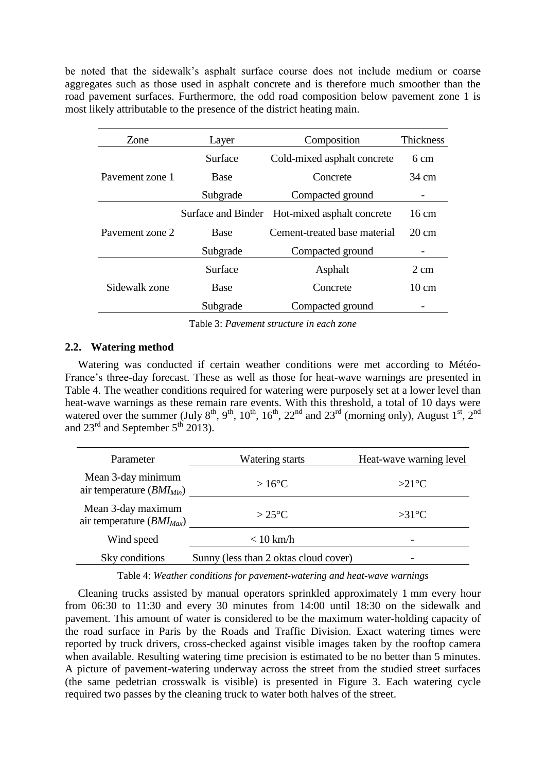be noted that the sidewalk's asphalt surface course does not include medium or coarse aggregates such as those used in asphalt concrete and is therefore much smoother than the road pavement surfaces. Furthermore, the odd road composition below pavement zone 1 is most likely attributable to the presence of the district heating main.

<span id="page-5-0"></span>

| <b>Zone</b>     | Layer       | Composition                                   | <b>Thickness</b> |
|-----------------|-------------|-----------------------------------------------|------------------|
|                 | Surface     | Cold-mixed asphalt concrete                   | $6 \text{ cm}$   |
| Pavement zone 1 | <b>Base</b> | Concrete                                      |                  |
|                 | Subgrade    | Compacted ground                              |                  |
| Pavement zone 2 |             | Surface and Binder Hot-mixed asphalt concrete | $16 \text{ cm}$  |
|                 | <b>Base</b> | Cement-treated base material                  | $20 \text{ cm}$  |
|                 | Subgrade    | Compacted ground                              |                  |
| Sidewalk zone   | Surface     | Asphalt                                       | $2 \text{ cm}$   |
|                 | Base        | Concrete                                      | $10 \text{ cm}$  |
|                 | Subgrade    | Compacted ground                              |                  |

Table 3: *Pavement structure in each zone*

#### **2.2. Watering method**

Watering was conducted if certain weather conditions were met according to Météo-France's three-day forecast. These as well as those for heat-wave warnings are presented in [Table 4.](#page-5-1) The weather conditions required for watering were purposely set at a lower level than heat-wave warnings as these remain rare events. With this threshold, a total of 10 days were watered over the summer (July  $8^{th}$ ,  $9^{th}$ ,  $10^{th}$ ,  $16^{th}$ ,  $22^{nd}$  and  $23^{rd}$  (morning only), August  $1^{st}$ ,  $2^{nd}$ and  $23^{\text{rd}}$  and September  $5^{\text{th}}$  2013).

| Parameter                                           | Watering starts                       | Heat-wave warning level  |  |
|-----------------------------------------------------|---------------------------------------|--------------------------|--|
| Mean 3-day minimum<br>air temperature $(BMI_{Min})$ | $>16^{\circ}$ C                       | $>21^{\circ}C$           |  |
| Mean 3-day maximum<br>air temperature $(BMI_{Max})$ | $>25^{\circ}$ C                       | $>31^{\circ}C$           |  |
| Wind speed                                          | $< 10$ km/h                           |                          |  |
| Sky conditions                                      | Sunny (less than 2 oktas cloud cover) | $\overline{\phantom{0}}$ |  |

Table 4: *Weather conditions for pavement-watering and heat-wave warnings*

<span id="page-5-1"></span>Cleaning trucks assisted by manual operators sprinkled approximately 1 mm every hour from 06:30 to 11:30 and every 30 minutes from 14:00 until 18:30 on the sidewalk and pavement. This amount of water is considered to be the maximum water-holding capacity of the road surface in Paris by the Roads and Traffic Division. Exact watering times were reported by truck drivers, cross-checked against visible images taken by the rooftop camera when available. Resulting watering time precision is estimated to be no better than 5 minutes. A picture of pavement-watering underway across the street from the studied street surfaces (the same pedetrian crosswalk is visible) is presented in [Figure 3.](#page-6-0) Each watering cycle required two passes by the cleaning truck to water both halves of the street.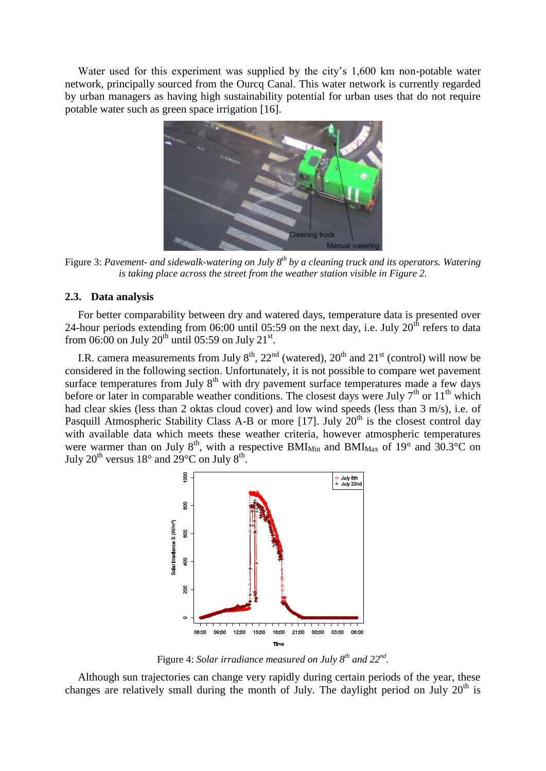Water used for this experiment was supplied by the city's 1,600 km non-potable water network, principally sourced from the Ourcq Canal. This water network is currently regarded by urban managers as having high sustainability potential for urban uses that do not require potable water such as green space irrigation [16].



Figure 3: *Pavement- and sidewalk-watering on July 8th by a cleaning truck and its operators. Watering is taking place across the street from the weather station visible in [Figure 2.](#page-4-0)*

#### <span id="page-6-0"></span>**2.3. Data analysis**

For better comparability between dry and watered days, temperature data is presented over 24-hour periods extending from 06:00 until 05:59 on the next day, i.e. July  $20<sup>th</sup>$  refers to data from 06:00 on July 20<sup>th</sup> until 05:59 on July 21<sup>st</sup>.

I.R. camera measurements from July  $8<sup>th</sup>$ ,  $22<sup>nd</sup>$  (watered),  $20<sup>th</sup>$  and  $21<sup>st</sup>$  (control) will now be considered in the following section. Unfortunately, it is not possible to compare wet pavement surface temperatures from July  $8<sup>th</sup>$  with dry pavement surface temperatures made a few days before or later in comparable weather conditions. The closest days were July  $7<sup>th</sup>$  or  $11<sup>th</sup>$  which had clear skies (less than 2 oktas cloud cover) and low wind speeds (less than 3 m/s), i.e. of Pasquill Atmospheric Stability Class A-B or more [17]. July  $20<sup>th</sup>$  is the closest control day with available data which meets these weather criteria, however atmospheric temperatures were warmer than on July  $8^{th}$ , with a respective BMI<sub>Min</sub> and BMI<sub>Max</sub> of 19° and 30.3°C on July 20<sup>th</sup> versus 18° and 29°C on July 8<sup>th</sup>.



Figure 4: *Solar irradiance measured on July 8th and 22nd .*

<span id="page-6-1"></span>Although sun trajectories can change very rapidly during certain periods of the year, these changes are relatively small during the month of July. The daylight period on July  $20<sup>th</sup>$  is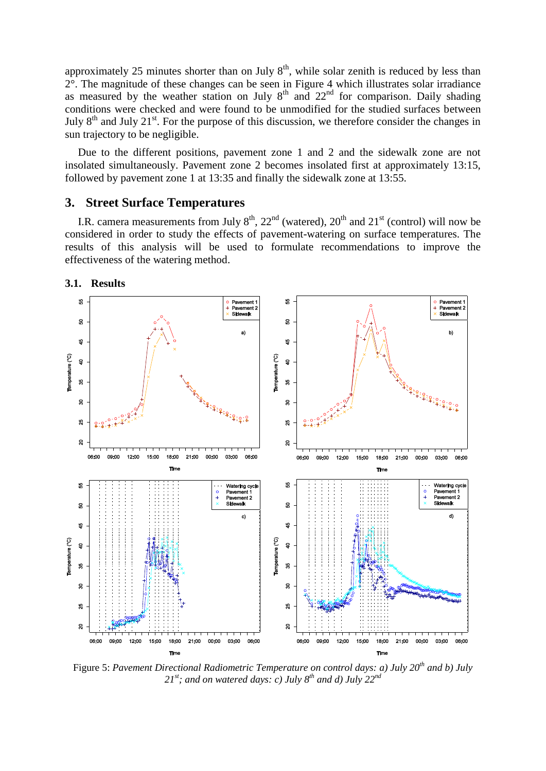approximately 25 minutes shorter than on July  $8<sup>th</sup>$ , while solar zenith is reduced by less than 2°. The magnitude of these changes can be seen in [Figure 4](#page-6-1) which illustrates solar irradiance as measured by the weather station on July  $8<sup>th</sup>$  and  $22<sup>nd</sup>$  for comparison. Daily shading conditions were checked and were found to be unmodified for the studied surfaces between July  $8<sup>th</sup>$  and July  $21<sup>st</sup>$ . For the purpose of this discussion, we therefore consider the changes in sun trajectory to be negligible.

Due to the different positions, pavement zone 1 and 2 and the sidewalk zone are not insolated simultaneously. Pavement zone 2 becomes insolated first at approximately 13:15, followed by pavement zone 1 at 13:35 and finally the sidewalk zone at 13:55.

#### **3. Street Surface Temperatures**

I.R. camera measurements from July  $8<sup>th</sup>$ ,  $22<sup>nd</sup>$  (watered),  $20<sup>th</sup>$  and  $21<sup>st</sup>$  (control) will now be considered in order to study the effects of pavement-watering on surface temperatures. The results of this analysis will be used to formulate recommendations to improve the effectiveness of the watering method.



**3.1. Results**

<span id="page-7-0"></span>Figure 5: *Pavement Directional Radiometric Temperature on control days: a) July 20th and b) July 21st ; and on watered days: c) July 8th and d) July 22nd*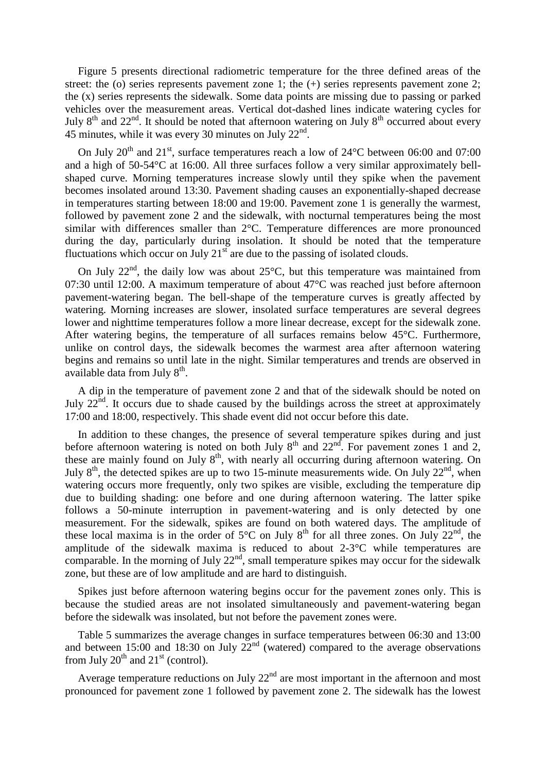[Figure 5](#page-7-0) presents directional radiometric temperature for the three defined areas of the street: the (o) series represents pavement zone 1; the (+) series represents pavement zone 2; the (x) series represents the sidewalk. Some data points are missing due to passing or parked vehicles over the measurement areas. Vertical dot-dashed lines indicate watering cycles for July 8<sup>th</sup> and 22<sup>nd</sup>. It should be noted that afternoon watering on July 8<sup>th</sup> occurred about every 45 minutes, while it was every 30 minutes on July  $22<sup>nd</sup>$ .

On July 20<sup>th</sup> and 21<sup>st</sup>, surface temperatures reach a low of 24<sup>o</sup>C between 06:00 and 07:00 and a high of 50-54°C at 16:00. All three surfaces follow a very similar approximately bellshaped curve. Morning temperatures increase slowly until they spike when the pavement becomes insolated around 13:30. Pavement shading causes an exponentially-shaped decrease in temperatures starting between 18:00 and 19:00. Pavement zone 1 is generally the warmest, followed by pavement zone 2 and the sidewalk, with nocturnal temperatures being the most similar with differences smaller than 2°C. Temperature differences are more pronounced during the day, particularly during insolation. It should be noted that the temperature fluctuations which occur on July  $21<sup>st</sup>$  are due to the passing of isolated clouds.

On July  $22<sup>nd</sup>$ , the daily low was about  $25^{\circ}$ C, but this temperature was maintained from 07:30 until 12:00. A maximum temperature of about 47°C was reached just before afternoon pavement-watering began. The bell-shape of the temperature curves is greatly affected by watering. Morning increases are slower, insolated surface temperatures are several degrees lower and nighttime temperatures follow a more linear decrease, except for the sidewalk zone. After watering begins, the temperature of all surfaces remains below 45°C. Furthermore, unlike on control days, the sidewalk becomes the warmest area after afternoon watering begins and remains so until late in the night. Similar temperatures and trends are observed in available data from July  $8^{th}$ .

A dip in the temperature of pavement zone 2 and that of the sidewalk should be noted on July  $22<sup>nd</sup>$ . It occurs due to shade caused by the buildings across the street at approximately 17:00 and 18:00, respectively. This shade event did not occur before this date.

In addition to these changes, the presence of several temperature spikes during and just before afternoon watering is noted on both July  $8<sup>th</sup>$  and  $22<sup>nd</sup>$ . For pavement zones 1 and 2, these are mainly found on July  $8<sup>th</sup>$ , with nearly all occurring during afternoon watering. On July  $8<sup>th</sup>$ , the detected spikes are up to two 15-minute measurements wide. On July 22<sup>nd</sup>, when watering occurs more frequently, only two spikes are visible, excluding the temperature dip due to building shading: one before and one during afternoon watering. The latter spike follows a 50-minute interruption in pavement-watering and is only detected by one measurement. For the sidewalk, spikes are found on both watered days. The amplitude of these local maxima is in the order of  $5^{\circ}$ C on July  $8^{th}$  for all three zones. On July 22<sup>nd</sup>, the amplitude of the sidewalk maxima is reduced to about 2-3°C while temperatures are comparable. In the morning of July  $22<sup>nd</sup>$ , small temperature spikes may occur for the sidewalk zone, but these are of low amplitude and are hard to distinguish.

Spikes just before afternoon watering begins occur for the pavement zones only. This is because the studied areas are not insolated simultaneously and pavement-watering began before the sidewalk was insolated, but not before the pavement zones were.

[Table 5](#page-9-0) summarizes the average changes in surface temperatures between 06:30 and 13:00 and between 15:00 and 18:30 on July  $22<sup>nd</sup>$  (watered) compared to the average observations from July  $20^{th}$  and  $21^{st}$  (control).

Average temperature reductions on July  $22<sup>nd</sup>$  are most important in the afternoon and most pronounced for pavement zone 1 followed by pavement zone 2. The sidewalk has the lowest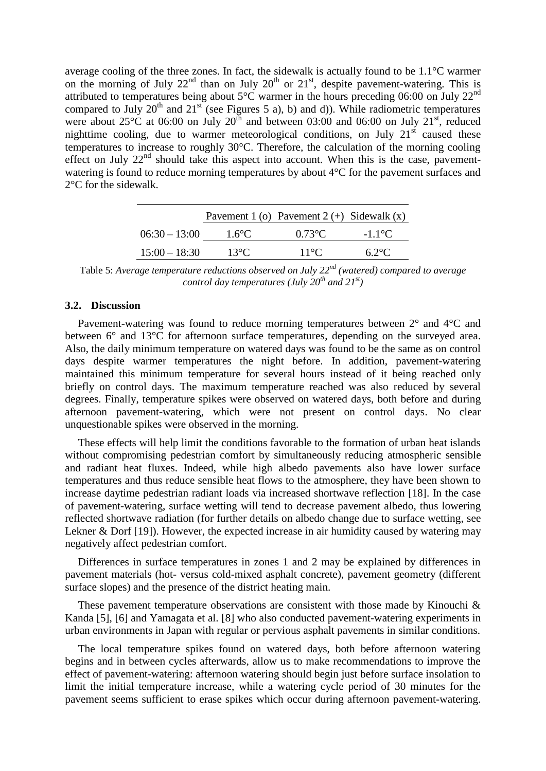average cooling of the three zones. In fact, the sidewalk is actually found to be 1.1°C warmer on the morning of July  $22^{nd}$  than on July  $20^{th}$  or  $21^{st}$ , despite pavement-watering. This is attributed to temperatures being about  $5^{\circ}$ C warmer in the hours preceding 06:00 on July 22<sup>nd</sup> compared to July 20<sup>th</sup> and 21<sup>st</sup> (see [Figures](#page-7-0) 5 a), b) and d)). While radiometric temperatures were about  $25^{\circ}$ C at 06:00 on July  $20^{th}$  and between 03:00 and 06:00 on July  $21^{st}$ , reduced nighttime cooling, due to warmer meteorological conditions, on July  $21<sup>st</sup>$  caused these temperatures to increase to roughly 30°C. Therefore, the calculation of the morning cooling effect on July  $22<sup>nd</sup>$  should take this aspect into account. When this is the case, pavementwatering is found to reduce morning temperatures by about 4°C for the pavement surfaces and 2°C for the sidewalk.

|                 |                 | Pavement 1 (o) Pavement 2 (+) Sidewalk $(x)$ |                        |
|-----------------|-----------------|----------------------------------------------|------------------------|
| $06:30-13:00$   | $1.6^{\circ}$ C | $0.73$ °C.                                   | $-1.1$ <sup>o</sup> C. |
| $15:00 - 18:30$ | $13^{\circ}C$   | $11^{\circ}C$                                | $62^{\circ}C$          |

<span id="page-9-0"></span>Table 5: *Average temperature reductions observed on July 22nd (watered) compared to average control day temperatures (July*  $20^{th}$  *and*  $21^{st}$ *)* 

#### **3.2. Discussion**

Pavement-watering was found to reduce morning temperatures between 2° and 4°C and between 6° and 13°C for afternoon surface temperatures, depending on the surveyed area. Also, the daily minimum temperature on watered days was found to be the same as on control days despite warmer temperatures the night before. In addition, pavement-watering maintained this minimum temperature for several hours instead of it being reached only briefly on control days. The maximum temperature reached was also reduced by several degrees. Finally, temperature spikes were observed on watered days, both before and during afternoon pavement-watering, which were not present on control days. No clear unquestionable spikes were observed in the morning.

These effects will help limit the conditions favorable to the formation of urban heat islands without compromising pedestrian comfort by simultaneously reducing atmospheric sensible and radiant heat fluxes. Indeed, while high albedo pavements also have lower surface temperatures and thus reduce sensible heat flows to the atmosphere, they have been shown to increase daytime pedestrian radiant loads via increased shortwave reflection [18]. In the case of pavement-watering, surface wetting will tend to decrease pavement albedo, thus lowering reflected shortwave radiation (for further details on albedo change due to surface wetting, see Lekner & Dorf [19]). However, the expected increase in air humidity caused by watering may negatively affect pedestrian comfort.

Differences in surface temperatures in zones 1 and 2 may be explained by differences in pavement materials (hot- versus cold-mixed asphalt concrete), pavement geometry (different surface slopes) and the presence of the district heating main.

These pavement temperature observations are consistent with those made by Kinouchi  $\&$ Kanda [5], [6] and Yamagata et al. [8] who also conducted pavement-watering experiments in urban environments in Japan with regular or pervious asphalt pavements in similar conditions.

The local temperature spikes found on watered days, both before afternoon watering begins and in between cycles afterwards, allow us to make recommendations to improve the effect of pavement-watering: afternoon watering should begin just before surface insolation to limit the initial temperature increase, while a watering cycle period of 30 minutes for the pavement seems sufficient to erase spikes which occur during afternoon pavement-watering.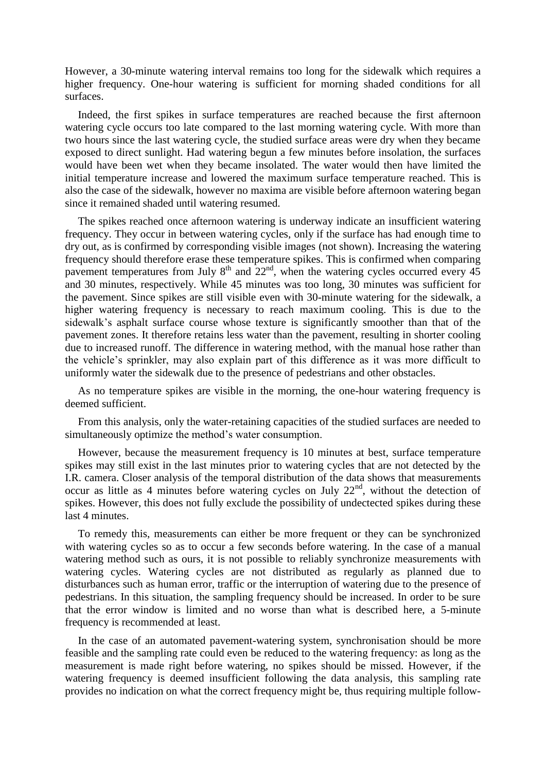However, a 30-minute watering interval remains too long for the sidewalk which requires a higher frequency. One-hour watering is sufficient for morning shaded conditions for all surfaces.

Indeed, the first spikes in surface temperatures are reached because the first afternoon watering cycle occurs too late compared to the last morning watering cycle. With more than two hours since the last watering cycle, the studied surface areas were dry when they became exposed to direct sunlight. Had watering begun a few minutes before insolation, the surfaces would have been wet when they became insolated. The water would then have limited the initial temperature increase and lowered the maximum surface temperature reached. This is also the case of the sidewalk, however no maxima are visible before afternoon watering began since it remained shaded until watering resumed.

The spikes reached once afternoon watering is underway indicate an insufficient watering frequency. They occur in between watering cycles, only if the surface has had enough time to dry out, as is confirmed by corresponding visible images (not shown). Increasing the watering frequency should therefore erase these temperature spikes. This is confirmed when comparing pavement temperatures from July  $8<sup>th</sup>$  and  $22<sup>nd</sup>$ , when the watering cycles occurred every  $45$ and 30 minutes, respectively. While 45 minutes was too long, 30 minutes was sufficient for the pavement. Since spikes are still visible even with 30-minute watering for the sidewalk, a higher watering frequency is necessary to reach maximum cooling. This is due to the sidewalk's asphalt surface course whose texture is significantly smoother than that of the pavement zones. It therefore retains less water than the pavement, resulting in shorter cooling due to increased runoff. The difference in watering method, with the manual hose rather than the vehicle's sprinkler, may also explain part of this difference as it was more difficult to uniformly water the sidewalk due to the presence of pedestrians and other obstacles.

As no temperature spikes are visible in the morning, the one-hour watering frequency is deemed sufficient.

From this analysis, only the water-retaining capacities of the studied surfaces are needed to simultaneously optimize the method's water consumption.

However, because the measurement frequency is 10 minutes at best, surface temperature spikes may still exist in the last minutes prior to watering cycles that are not detected by the I.R. camera. Closer analysis of the temporal distribution of the data shows that measurements occur as little as 4 minutes before watering cycles on July  $22<sup>nd</sup>$ , without the detection of spikes. However, this does not fully exclude the possibility of undectected spikes during these last 4 minutes.

To remedy this, measurements can either be more frequent or they can be synchronized with watering cycles so as to occur a few seconds before watering. In the case of a manual watering method such as ours, it is not possible to reliably synchronize measurements with watering cycles. Watering cycles are not distributed as regularly as planned due to disturbances such as human error, traffic or the interruption of watering due to the presence of pedestrians. In this situation, the sampling frequency should be increased. In order to be sure that the error window is limited and no worse than what is described here, a 5-minute frequency is recommended at least.

In the case of an automated pavement-watering system, synchronisation should be more feasible and the sampling rate could even be reduced to the watering frequency: as long as the measurement is made right before watering, no spikes should be missed. However, if the watering frequency is deemed insufficient following the data analysis, this sampling rate provides no indication on what the correct frequency might be, thus requiring multiple follow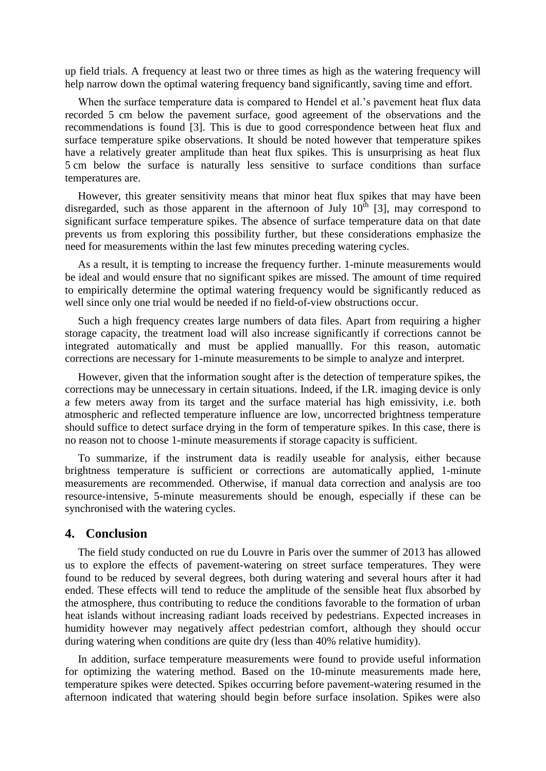up field trials. A frequency at least two or three times as high as the watering frequency will help narrow down the optimal watering frequency band significantly, saving time and effort.

When the surface temperature data is compared to Hendel et al.'s pavement heat flux data recorded 5 cm below the pavement surface, good agreement of the observations and the recommendations is found [3]. This is due to good correspondence between heat flux and surface temperature spike observations. It should be noted however that temperature spikes have a relatively greater amplitude than heat flux spikes. This is unsurprising as heat flux 5 cm below the surface is naturally less sensitive to surface conditions than surface temperatures are.

However, this greater sensitivity means that minor heat flux spikes that may have been disregarded, such as those apparent in the afternoon of July  $10^{th}$  [3], may correspond to significant surface temperature spikes. The absence of surface temperature data on that date prevents us from exploring this possibility further, but these considerations emphasize the need for measurements within the last few minutes preceding watering cycles.

As a result, it is tempting to increase the frequency further. 1-minute measurements would be ideal and would ensure that no significant spikes are missed. The amount of time required to empirically determine the optimal watering frequency would be significantly reduced as well since only one trial would be needed if no field-of-view obstructions occur.

Such a high frequency creates large numbers of data files. Apart from requiring a higher storage capacity, the treatment load will also increase significantly if corrections cannot be integrated automatically and must be applied manuallly. For this reason, automatic corrections are necessary for 1-minute measurements to be simple to analyze and interpret.

However, given that the information sought after is the detection of temperature spikes, the corrections may be unnecessary in certain situations. Indeed, if the I.R. imaging device is only a few meters away from its target and the surface material has high emissivity, i.e. both atmospheric and reflected temperature influence are low, uncorrected brightness temperature should suffice to detect surface drying in the form of temperature spikes. In this case, there is no reason not to choose 1-minute measurements if storage capacity is sufficient.

To summarize, if the instrument data is readily useable for analysis, either because brightness temperature is sufficient or corrections are automatically applied, 1-minute measurements are recommended. Otherwise, if manual data correction and analysis are too resource-intensive, 5-minute measurements should be enough, especially if these can be synchronised with the watering cycles.

#### **4. Conclusion**

The field study conducted on rue du Louvre in Paris over the summer of 2013 has allowed us to explore the effects of pavement-watering on street surface temperatures. They were found to be reduced by several degrees, both during watering and several hours after it had ended. These effects will tend to reduce the amplitude of the sensible heat flux absorbed by the atmosphere, thus contributing to reduce the conditions favorable to the formation of urban heat islands without increasing radiant loads received by pedestrians. Expected increases in humidity however may negatively affect pedestrian comfort, although they should occur during watering when conditions are quite dry (less than 40% relative humidity).

In addition, surface temperature measurements were found to provide useful information for optimizing the watering method. Based on the 10-minute measurements made here, temperature spikes were detected. Spikes occurring before pavement-watering resumed in the afternoon indicated that watering should begin before surface insolation. Spikes were also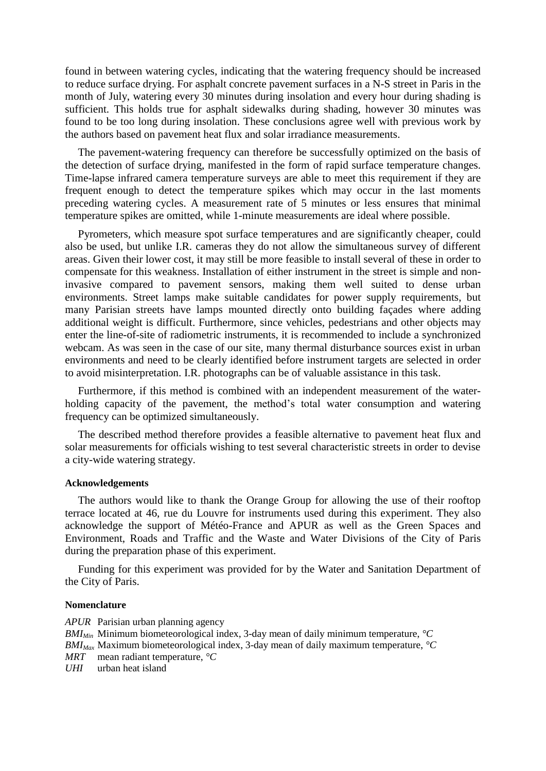found in between watering cycles, indicating that the watering frequency should be increased to reduce surface drying. For asphalt concrete pavement surfaces in a N-S street in Paris in the month of July, watering every 30 minutes during insolation and every hour during shading is sufficient. This holds true for asphalt sidewalks during shading, however 30 minutes was found to be too long during insolation. These conclusions agree well with previous work by the authors based on pavement heat flux and solar irradiance measurements.

The pavement-watering frequency can therefore be successfully optimized on the basis of the detection of surface drying, manifested in the form of rapid surface temperature changes. Time-lapse infrared camera temperature surveys are able to meet this requirement if they are frequent enough to detect the temperature spikes which may occur in the last moments preceding watering cycles. A measurement rate of 5 minutes or less ensures that minimal temperature spikes are omitted, while 1-minute measurements are ideal where possible.

Pyrometers, which measure spot surface temperatures and are significantly cheaper, could also be used, but unlike I.R. cameras they do not allow the simultaneous survey of different areas. Given their lower cost, it may still be more feasible to install several of these in order to compensate for this weakness. Installation of either instrument in the street is simple and noninvasive compared to pavement sensors, making them well suited to dense urban environments. Street lamps make suitable candidates for power supply requirements, but many Parisian streets have lamps mounted directly onto building façades where adding additional weight is difficult. Furthermore, since vehicles, pedestrians and other objects may enter the line-of-site of radiometric instruments, it is recommended to include a synchronized webcam. As was seen in the case of our site, many thermal disturbance sources exist in urban environments and need to be clearly identified before instrument targets are selected in order to avoid misinterpretation. I.R. photographs can be of valuable assistance in this task.

Furthermore, if this method is combined with an independent measurement of the waterholding capacity of the pavement, the method's total water consumption and watering frequency can be optimized simultaneously.

The described method therefore provides a feasible alternative to pavement heat flux and solar measurements for officials wishing to test several characteristic streets in order to devise a city-wide watering strategy.

#### **Acknowledgements**

The authors would like to thank the Orange Group for allowing the use of their rooftop terrace located at 46, rue du Louvre for instruments used during this experiment. They also acknowledge the support of Météo-France and APUR as well as the Green Spaces and Environment, Roads and Traffic and the Waste and Water Divisions of the City of Paris during the preparation phase of this experiment.

Funding for this experiment was provided for by the Water and Sanitation Department of the City of Paris.

#### **Nomenclature**

*APUR* Parisian urban planning agency *BMIMin* Minimum biometeorological index, 3-day mean of daily minimum temperature, *°C BMIMax* Maximum biometeorological index, 3-day mean of daily maximum temperature, *°C MRT* mean radiant temperature, *°C*

*UHI* urban heat island